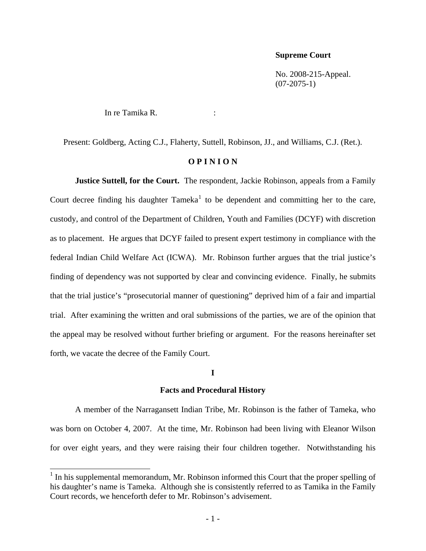#### **Supreme Court**

 No. 2008-215-Appeal.  $(07-2075-1)$ 

In re Tamika R. :

Present: Goldberg, Acting C.J., Flaherty, Suttell, Robinson, JJ., and Williams, C.J. (Ret.).

## **O P I N I O N**

**Justice Suttell, for the Court.** The respondent, Jackie Robinson, appeals from a Family Court decree finding his daughter  $Tameka<sup>1</sup>$  $Tameka<sup>1</sup>$  $Tameka<sup>1</sup>$  to be dependent and committing her to the care, custody, and control of the Department of Children, Youth and Families (DCYF) with discretion as to placement. He argues that DCYF failed to present expert testimony in compliance with the federal Indian Child Welfare Act (ICWA). Mr. Robinson further argues that the trial justice's finding of dependency was not supported by clear and convincing evidence. Finally, he submits that the trial justice's "prosecutorial manner of questioning" deprived him of a fair and impartial trial. After examining the written and oral submissions of the parties, we are of the opinion that the appeal may be resolved without further briefing or argument. For the reasons hereinafter set forth, we vacate the decree of the Family Court.

## **I**

## **Facts and Procedural History**

 A member of the Narragansett Indian Tribe, Mr. Robinson is the father of Tameka, who was born on October 4, 2007. At the time, Mr. Robinson had been living with Eleanor Wilson for over eight years, and they were raising their four children together. Notwithstanding his

 $\overline{\phantom{a}}$ 

<span id="page-0-0"></span> $<sup>1</sup>$  In his supplemental memorandum, Mr. Robinson informed this Court that the proper spelling of</sup> his daughter's name is Tameka. Although she is consistently referred to as Tamika in the Family Court records, we henceforth defer to Mr. Robinson's advisement.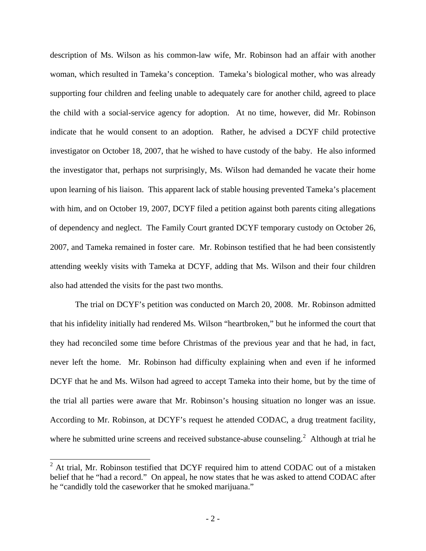description of Ms. Wilson as his common-law wife, Mr. Robinson had an affair with another woman, which resulted in Tameka's conception. Tameka's biological mother, who was already supporting four children and feeling unable to adequately care for another child, agreed to place the child with a social-service agency for adoption. At no time, however, did Mr. Robinson indicate that he would consent to an adoption. Rather, he advised a DCYF child protective investigator on October 18, 2007, that he wished to have custody of the baby. He also informed the investigator that, perhaps not surprisingly, Ms. Wilson had demanded he vacate their home upon learning of his liaison. This apparent lack of stable housing prevented Tameka's placement with him, and on October 19, 2007, DCYF filed a petition against both parents citing allegations of dependency and neglect. The Family Court granted DCYF temporary custody on October 26, 2007, and Tameka remained in foster care. Mr. Robinson testified that he had been consistently attending weekly visits with Tameka at DCYF, adding that Ms. Wilson and their four children also had attended the visits for the past two months.

 The trial on DCYF's petition was conducted on March 20, 2008. Mr. Robinson admitted that his infidelity initially had rendered Ms. Wilson "heartbroken," but he informed the court that they had reconciled some time before Christmas of the previous year and that he had, in fact, never left the home. Mr. Robinson had difficulty explaining when and even if he informed DCYF that he and Ms. Wilson had agreed to accept Tameka into their home, but by the time of the trial all parties were aware that Mr. Robinson's housing situation no longer was an issue. According to Mr. Robinson, at DCYF's request he attended CODAC, a drug treatment facility, where he submitted urine screens and received substance-abuse counseling.<sup>[2](#page-1-0)</sup> Although at trial he

 $\overline{a}$ 

<span id="page-1-0"></span> $2$  At trial, Mr. Robinson testified that DCYF required him to attend CODAC out of a mistaken belief that he "had a record." On appeal, he now states that he was asked to attend CODAC after he "candidly told the caseworker that he smoked marijuana."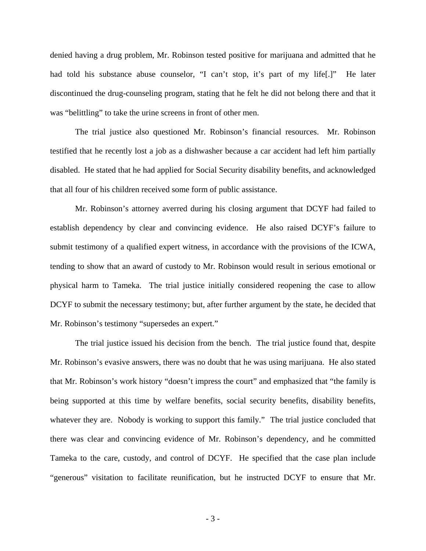denied having a drug problem, Mr. Robinson tested positive for marijuana and admitted that he had told his substance abuse counselor, "I can't stop, it's part of my life.]" He later discontinued the drug-counseling program, stating that he felt he did not belong there and that it was "belittling" to take the urine screens in front of other men.

 The trial justice also questioned Mr. Robinson's financial resources. Mr. Robinson testified that he recently lost a job as a dishwasher because a car accident had left him partially disabled. He stated that he had applied for Social Security disability benefits, and acknowledged that all four of his children received some form of public assistance.

 Mr. Robinson's attorney averred during his closing argument that DCYF had failed to establish dependency by clear and convincing evidence. He also raised DCYF's failure to submit testimony of a qualified expert witness, in accordance with the provisions of the ICWA, tending to show that an award of custody to Mr. Robinson would result in serious emotional or physical harm to Tameka. The trial justice initially considered reopening the case to allow DCYF to submit the necessary testimony; but, after further argument by the state, he decided that Mr. Robinson's testimony "supersedes an expert."

 The trial justice issued his decision from the bench. The trial justice found that, despite Mr. Robinson's evasive answers, there was no doubt that he was using marijuana. He also stated that Mr. Robinson's work history "doesn't impress the court" and emphasized that "the family is being supported at this time by welfare benefits, social security benefits, disability benefits, whatever they are. Nobody is working to support this family." The trial justice concluded that there was clear and convincing evidence of Mr. Robinson's dependency, and he committed Tameka to the care, custody, and control of DCYF. He specified that the case plan include "generous" visitation to facilitate reunification, but he instructed DCYF to ensure that Mr.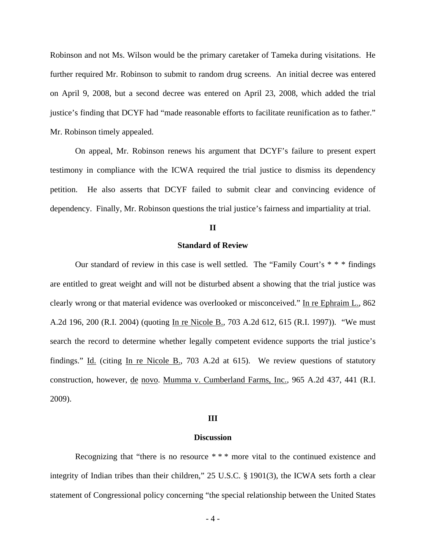Robinson and not Ms. Wilson would be the primary caretaker of Tameka during visitations. He further required Mr. Robinson to submit to random drug screens. An initial decree was entered on April 9, 2008, but a second decree was entered on April 23, 2008, which added the trial justice's finding that DCYF had "made reasonable efforts to facilitate reunification as to father." Mr. Robinson timely appealed.

 On appeal, Mr. Robinson renews his argument that DCYF's failure to present expert testimony in compliance with the ICWA required the trial justice to dismiss its dependency petition. He also asserts that DCYF failed to submit clear and convincing evidence of dependency. Finally, Mr. Robinson questions the trial justice's fairness and impartiality at trial.

## **II**

## **Standard of Review**

 Our standard of review in this case is well settled. The "Family Court's \* \* \* findings are entitled to great weight and will not be disturbed absent a showing that the trial justice was clearly wrong or that material evidence was overlooked or misconceived." In re Ephraim L., 862 A.2d 196, 200 (R.I. 2004) (quoting In re Nicole B., 703 A.2d 612, 615 (R.I. 1997)). "We must search the record to determine whether legally competent evidence supports the trial justice's findings." Id. (citing In re Nicole B., 703 A.2d at 615). We review questions of statutory construction, however, de novo. Mumma v. Cumberland Farms, Inc., 965 A.2d 437, 441 (R.I. 2009).

#### **III**

#### **Discussion**

 Recognizing that "there is no resource \* \* \* more vital to the continued existence and integrity of Indian tribes than their children," 25 U.S.C. § 1901(3), the ICWA sets forth a clear statement of Congressional policy concerning "the special relationship between the United States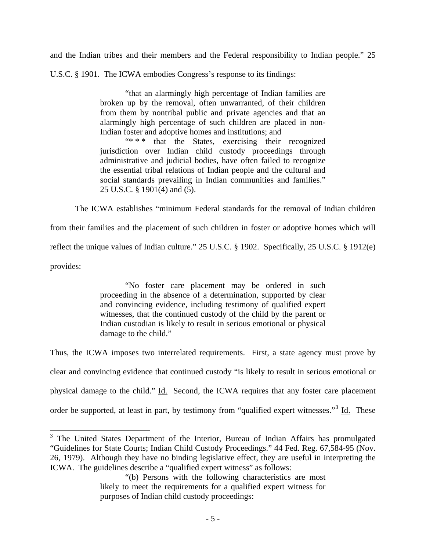and the Indian tribes and their members and the Federal responsibility to Indian people." 25

U.S.C. § 1901. The ICWA embodies Congress's response to its findings:

"that an alarmingly high percentage of Indian families are broken up by the removal, often unwarranted, of their children from them by nontribal public and private agencies and that an alarmingly high percentage of such children are placed in non-Indian foster and adoptive homes and institutions; and<br>
"\*\*\*\* that the States exercising their

that the States, exercising their recognized jurisdiction over Indian child custody proceedings through administrative and judicial bodies, have often failed to recognize the essential tribal relations of Indian people and the cultural and social standards prevailing in Indian communities and families." 25 U.S.C. § 1901(4) and (5).

The ICWA establishes "minimum Federal standards for the removal of Indian children

from their families and the placement of such children in foster or adoptive homes which will reflect the unique values of Indian culture." 25 U.S.C. § 1902. Specifically, 25 U.S.C. § 1912(e)

provides:

"No foster care placement may be ordered in such proceeding in the absence of a determination, supported by clear and convincing evidence, including testimony of qualified expert witnesses, that the continued custody of the child by the parent or Indian custodian is likely to result in serious emotional or physical damage to the child."

Thus, the ICWA imposes two interrelated requirements. First, a state agency must prove by clear and convincing evidence that continued custody "is likely to result in serious emotional or physical damage to the child." Id. Second, the ICWA requires that any foster care placement order be supported, at least in part, by testimony from "qualified expert witnesses."<sup>[3](#page-4-0)</sup> Id. These

<span id="page-4-0"></span><sup>&</sup>lt;sup>3</sup> The United States Department of the Interior, Bureau of Indian Affairs has promulgated "Guidelines for State Courts; Indian Child Custody Proceedings." 44 Fed. Reg. 67,584-95 (Nov. 26, 1979). Although they have no binding legislative effect, they are useful in interpreting the ICWA. The guidelines describe a "qualified expert witness" as follows:

<sup>&</sup>quot;(b) Persons with the following characteristics are most likely to meet the requirements for a qualified expert witness for purposes of Indian child custody proceedings: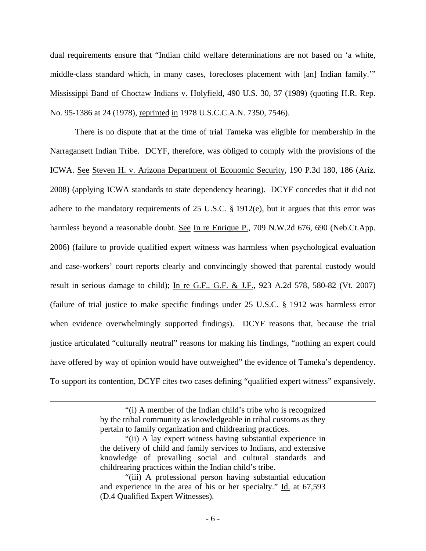dual requirements ensure that "Indian child welfare determinations are not based on 'a white, middle-class standard which, in many cases, forecloses placement with [an] Indian family.'" Mississippi Band of Choctaw Indians v. Holyfield, 490 U.S. 30, 37 (1989) (quoting H.R. Rep. No. 95-1386 at 24 (1978), reprinted in 1978 U.S.C.C.A.N. 7350, 7546).

 There is no dispute that at the time of trial Tameka was eligible for membership in the Narragansett Indian Tribe. DCYF, therefore, was obliged to comply with the provisions of the ICWA. See Steven H. v. Arizona Department of Economic Security, 190 P.3d 180, 186 (Ariz. 2008) (applying ICWA standards to state dependency hearing). DCYF concedes that it did not adhere to the mandatory requirements of 25 U.S.C. § 1912(e), but it argues that this error was harmless beyond a reasonable doubt. See In re Enrique P., 709 N.W.2d 676, 690 (Neb.Ct.App. 2006) (failure to provide qualified expert witness was harmless when psychological evaluation and case-workers' court reports clearly and convincingly showed that parental custody would result in serious damage to child); In re G.F., G.F. & J.F., 923 A.2d 578, 580-82 (Vt. 2007) (failure of trial justice to make specific findings under 25 U.S.C. § 1912 was harmless error when evidence overwhelmingly supported findings). DCYF reasons that, because the trial justice articulated "culturally neutral" reasons for making his findings, "nothing an expert could have offered by way of opinion would have outweighed" the evidence of Tameka's dependency. To support its contention, DCYF cites two cases defining "qualified expert witness" expansively.

 $\overline{\phantom{a}}$ 

<sup>&</sup>quot;(i) A member of the Indian child's tribe who is recognized by the tribal community as knowledgeable in tribal customs as they pertain to family organization and childrearing practices.

<sup>&</sup>quot;(ii) A lay expert witness having substantial experience in the delivery of child and family services to Indians, and extensive knowledge of prevailing social and cultural standards and childrearing practices within the Indian child's tribe.

<sup>&</sup>quot;(iii) A professional person having substantial education and experience in the area of his or her specialty." Id. at 67,593 (D.4 Qualified Expert Witnesses).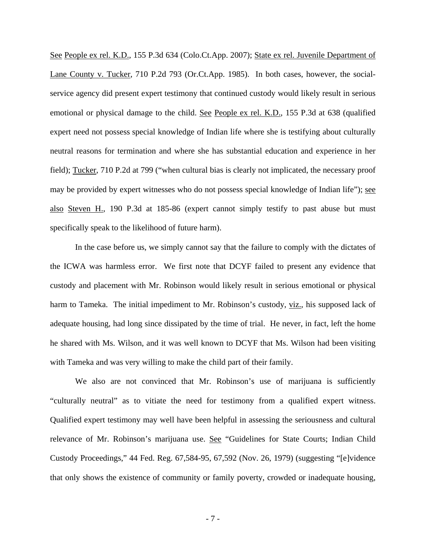See People ex rel. K.D., 155 P.3d 634 (Colo.Ct.App. 2007); State ex rel. Juvenile Department of Lane County v. Tucker, 710 P.2d 793 (Or.Ct.App. 1985). In both cases, however, the socialservice agency did present expert testimony that continued custody would likely result in serious emotional or physical damage to the child. See People ex rel. K.D., 155 P.3d at 638 (qualified expert need not possess special knowledge of Indian life where she is testifying about culturally neutral reasons for termination and where she has substantial education and experience in her field); Tucker, 710 P.2d at 799 ("when cultural bias is clearly not implicated, the necessary proof may be provided by expert witnesses who do not possess special knowledge of Indian life"); see also Steven H., 190 P.3d at 185-86 (expert cannot simply testify to past abuse but must specifically speak to the likelihood of future harm).

 In the case before us, we simply cannot say that the failure to comply with the dictates of the ICWA was harmless error. We first note that DCYF failed to present any evidence that custody and placement with Mr. Robinson would likely result in serious emotional or physical harm to Tameka. The initial impediment to Mr. Robinson's custody, viz., his supposed lack of adequate housing, had long since dissipated by the time of trial. He never, in fact, left the home he shared with Ms. Wilson, and it was well known to DCYF that Ms. Wilson had been visiting with Tameka and was very willing to make the child part of their family.

We also are not convinced that Mr. Robinson's use of marijuana is sufficiently "culturally neutral" as to vitiate the need for testimony from a qualified expert witness. Qualified expert testimony may well have been helpful in assessing the seriousness and cultural relevance of Mr. Robinson's marijuana use. See "Guidelines for State Courts; Indian Child Custody Proceedings," 44 Fed. Reg. 67,584-95, 67,592 (Nov. 26, 1979) (suggesting "[e]vidence that only shows the existence of community or family poverty, crowded or inadequate housing,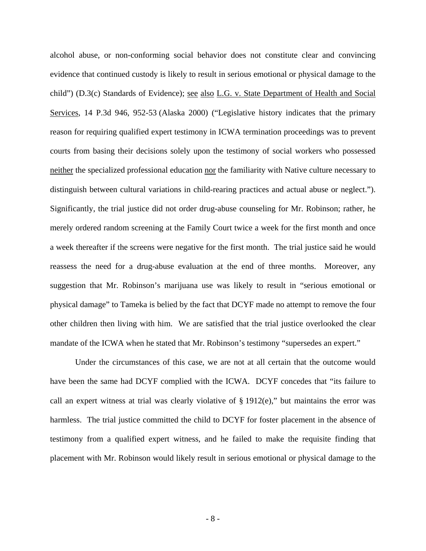alcohol abuse, or non-conforming social behavior does not constitute clear and convincing evidence that continued custody is likely to result in serious emotional or physical damage to the child") (D.3(c) Standards of Evidence); see also L.G. v. State Department of Health and Social Services, 14 P.3d 946, 952-53 (Alaska 2000) ("Legislative history indicates that the primary reason for requiring qualified expert testimony in ICWA termination proceedings was to prevent courts from basing their decisions solely upon the testimony of social workers who possessed neither the specialized professional education nor the familiarity with Native culture necessary to distinguish between cultural variations in child-rearing practices and actual abuse or neglect."). Significantly, the trial justice did not order drug-abuse counseling for Mr. Robinson; rather, he merely ordered random screening at the Family Court twice a week for the first month and once a week thereafter if the screens were negative for the first month. The trial justice said he would reassess the need for a drug-abuse evaluation at the end of three months. Moreover, any suggestion that Mr. Robinson's marijuana use was likely to result in "serious emotional or physical damage" to Tameka is belied by the fact that DCYF made no attempt to remove the four other children then living with him. We are satisfied that the trial justice overlooked the clear mandate of the ICWA when he stated that Mr. Robinson's testimony "supersedes an expert."

Under the circumstances of this case, we are not at all certain that the outcome would have been the same had DCYF complied with the ICWA. DCYF concedes that "its failure to call an expert witness at trial was clearly violative of  $\S 1912(e)$ ," but maintains the error was harmless. The trial justice committed the child to DCYF for foster placement in the absence of testimony from a qualified expert witness, and he failed to make the requisite finding that placement with Mr. Robinson would likely result in serious emotional or physical damage to the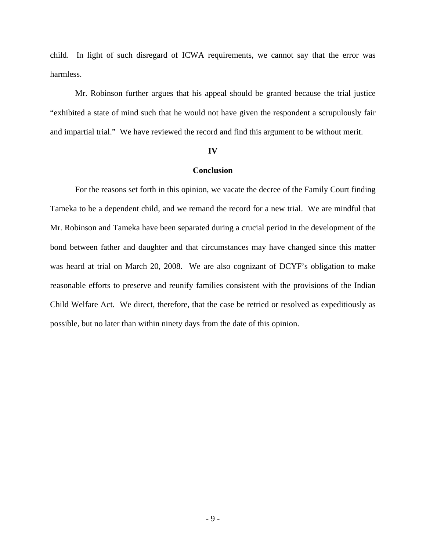child. In light of such disregard of ICWA requirements, we cannot say that the error was harmless.

Mr. Robinson further argues that his appeal should be granted because the trial justice "exhibited a state of mind such that he would not have given the respondent a scrupulously fair and impartial trial." We have reviewed the record and find this argument to be without merit.

#### **IV**

## **Conclusion**

 For the reasons set forth in this opinion, we vacate the decree of the Family Court finding Tameka to be a dependent child, and we remand the record for a new trial. We are mindful that Mr. Robinson and Tameka have been separated during a crucial period in the development of the bond between father and daughter and that circumstances may have changed since this matter was heard at trial on March 20, 2008. We are also cognizant of DCYF's obligation to make reasonable efforts to preserve and reunify families consistent with the provisions of the Indian Child Welfare Act. We direct, therefore, that the case be retried or resolved as expeditiously as possible, but no later than within ninety days from the date of this opinion.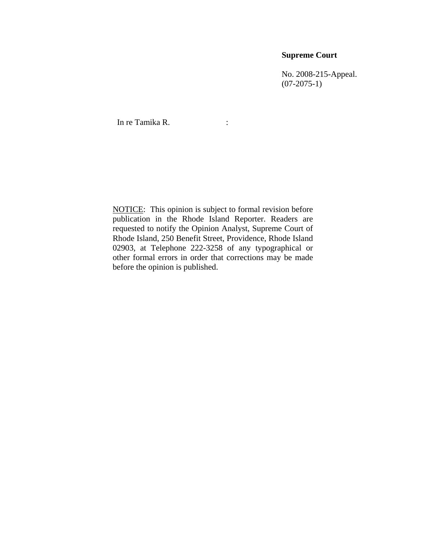## **Supreme Court**

 No. 2008-215-Appeal.  $(07-2075-1)$ 

In re Tamika R.

NOTICE: This opinion is subject to formal revision before publication in the Rhode Island Reporter. Readers are requested to notify the Opinion Analyst, Supreme Court of Rhode Island, 250 Benefit Street, Providence, Rhode Island 02903, at Telephone 222-3258 of any typographical or other formal errors in order that corrections may be made before the opinion is published.